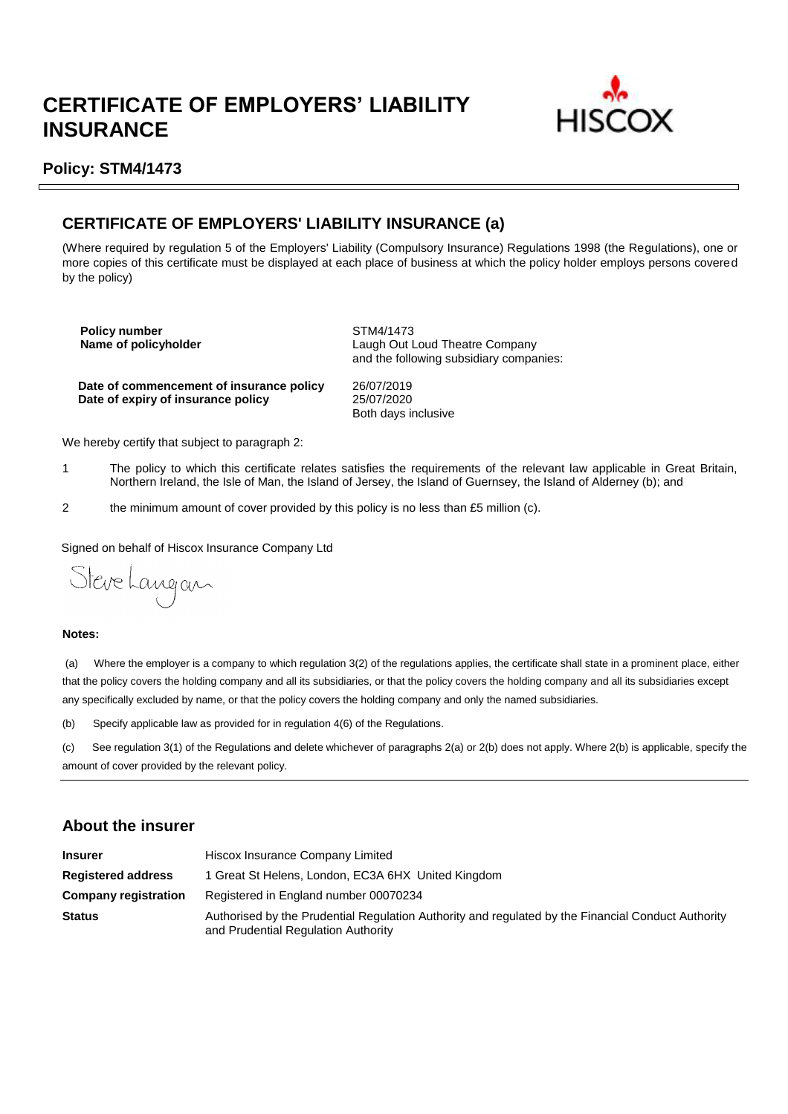# **CERTIFICATE OF EMPLOYERS' LIABILITY INSURANCE**



## **Policy: STM4/1473**

# **CERTIFICATE OF EMPLOYERS' LIABILITY INSURANCE (a)**

(Where required by regulation 5 of the Employers' Liability (Compulsory Insurance) Regulations 1998 (the Regulations), one or more copies of this certificate must be displayed at each place of business at which the policy holder employs persons covered by the policy)

**Policy number**<br> **Name of policyholder**<br> **Name of policyholder** 

**Laugh Out Loud Theatre Company** and the following subsidiary companies:

**Date of commencement of insurance policy** 26/07/2019 **Date of expiry of insurance policy** 

Both days inclusive

We hereby certify that subject to paragraph 2:

- 1 The policy to which this certificate relates satisfies the requirements of the relevant law applicable in Great Britain, Northern Ireland, the Isle of Man, the Island of Jersey, the Island of Guernsey, the Island of Alderney (b); and
- 2 the minimum amount of cover provided by this policy is no less than £5 million (c).

Signed on behalf of Hiscox Insurance Company Ltd

Steve Langan

### **Notes:**

(a) Where the employer is a company to which regulation 3(2) of the regulations applies, the certificate shall state in a prominent place, either that the policy covers the holding company and all its subsidiaries, or that the policy covers the holding company and all its subsidiaries except any specifically excluded by name, or that the policy covers the holding company and only the named subsidiaries.

(b) Specify applicable law as provided for in regulation 4(6) of the Regulations.

(c) See regulation 3(1) of the Regulations and delete whichever of paragraphs 2(a) or 2(b) does not apply. Where 2(b) is applicable, specify the amount of cover provided by the relevant policy.

## **About the insurer**

| <b>Insurer</b>              | Hiscox Insurance Company Limited                                                                                                          |  |  |  |
|-----------------------------|-------------------------------------------------------------------------------------------------------------------------------------------|--|--|--|
| <b>Registered address</b>   | 1 Great St Helens, London, EC3A 6HX United Kingdom                                                                                        |  |  |  |
| <b>Company registration</b> | Registered in England number 00070234                                                                                                     |  |  |  |
| <b>Status</b>               | Authorised by the Prudential Regulation Authority and regulated by the Financial Conduct Authority<br>and Prudential Regulation Authority |  |  |  |